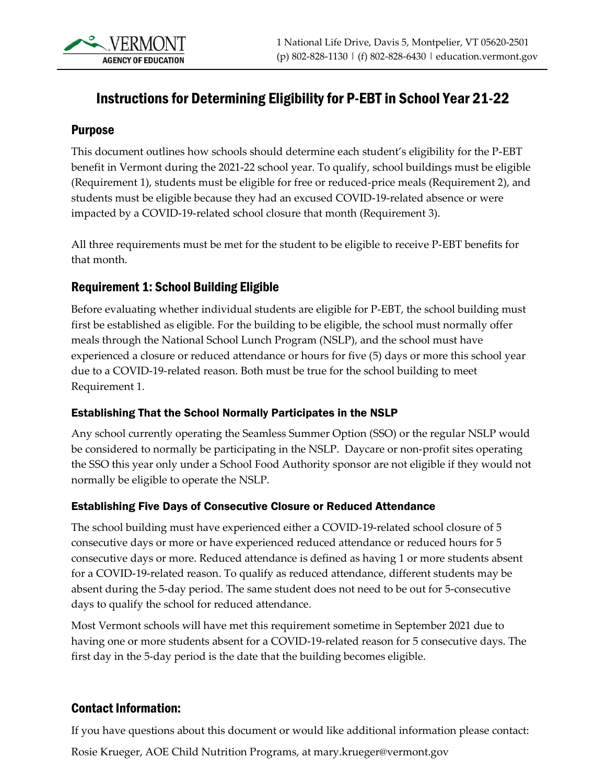# Instructions for Determining Eligibility for P-EBT in School Year 21-22

### Purpose

This document outlines how schools should determine each student's eligibility for the P-EBT benefit in Vermont during the 2021-22 school year. To qualify, school buildings must be eligible (Requirement 1), students must be eligible for free or reduced-price meals (Requirement 2), and students must be eligible because they had an excused COVID-19-related absence or were impacted by a COVID-19-related school closure that month (Requirement 3).

All three requirements must be met for the student to be eligible to receive P-EBT benefits for that month.

### Requirement 1: School Building Eligible

Before evaluating whether individual students are eligible for P-EBT, the school building must first be established as eligible. For the building to be eligible, the school must normally offer meals through the National School Lunch Program (NSLP), and the school must have experienced a closure or reduced attendance or hours for five (5) days or more this school year due to a COVID-19-related reason. Both must be true for the school building to meet Requirement 1.

#### Establishing That the School Normally Participates in the NSLP

Any school currently operating the Seamless Summer Option (SSO) or the regular NSLP would be considered to normally be participating in the NSLP. Daycare or non-profit sites operating the SSO this year only under a School Food Authority sponsor are not eligible if they would not normally be eligible to operate the NSLP.

#### Establishing Five Days of Consecutive Closure or Reduced Attendance

The school building must have experienced either a COVID-19-related school closure of 5 consecutive days or more or have experienced reduced attendance or reduced hours for 5 consecutive days or more. Reduced attendance is defined as having 1 or more students absent for a COVID-19-related reason. To qualify as reduced attendance, different students may be absent during the 5-day period. The same student does not need to be out for 5-consecutive days to qualify the school for reduced attendance.

Most Vermont schools will have met this requirement sometime in September 2021 due to having one or more students absent for a COVID-19-related reason for 5 consecutive days. The first day in the 5-day period is the date that the building becomes eligible.

### Contact Information:

If you have questions about this document or would like additional information please contact:

Rosie Krueger, AOE Child Nutrition Programs, at mary.krueger@vermont.gov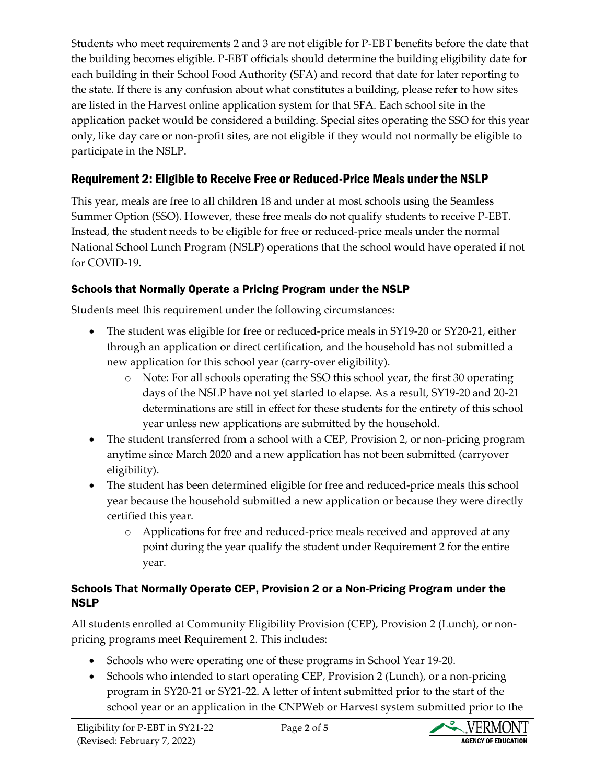Students who meet requirements 2 and 3 are not eligible for P-EBT benefits before the date that the building becomes eligible. P-EBT officials should determine the building eligibility date for each building in their School Food Authority (SFA) and record that date for later reporting to the state. If there is any confusion about what constitutes a building, please refer to how sites are listed in the Harvest online application system for that SFA. Each school site in the application packet would be considered a building. Special sites operating the SSO for this year only, like day care or non-profit sites, are not eligible if they would not normally be eligible to participate in the NSLP.

# Requirement 2: Eligible to Receive Free or Reduced-Price Meals under the NSLP

This year, meals are free to all children 18 and under at most schools using the Seamless Summer Option (SSO). However, these free meals do not qualify students to receive P-EBT. Instead, the student needs to be eligible for free or reduced-price meals under the normal National School Lunch Program (NSLP) operations that the school would have operated if not for COVID-19.

## Schools that Normally Operate a Pricing Program under the NSLP

Students meet this requirement under the following circumstances:

- The student was eligible for free or reduced-price meals in SY19-20 or SY20-21, either through an application or direct certification, and the household has not submitted a new application for this school year (carry-over eligibility).
	- o Note: For all schools operating the SSO this school year, the first 30 operating days of the NSLP have not yet started to elapse. As a result, SY19-20 and 20-21 determinations are still in effect for these students for the entirety of this school year unless new applications are submitted by the household.
- The student transferred from a school with a CEP, Provision 2, or non-pricing program anytime since March 2020 and a new application has not been submitted (carryover eligibility).
- The student has been determined eligible for free and reduced-price meals this school year because the household submitted a new application or because they were directly certified this year.
	- o Applications for free and reduced-price meals received and approved at any point during the year qualify the student under Requirement 2 for the entire year.

### Schools That Normally Operate CEP, Provision 2 or a Non-Pricing Program under the NSLP

All students enrolled at Community Eligibility Provision (CEP), Provision 2 (Lunch), or nonpricing programs meet Requirement 2. This includes:

- Schools who were operating one of these programs in School Year 19-20.
- Schools who intended to start operating CEP, Provision 2 (Lunch), or a non-pricing program in SY20-21 or SY21-22. A letter of intent submitted prior to the start of the school year or an application in the CNPWeb or Harvest system submitted prior to the

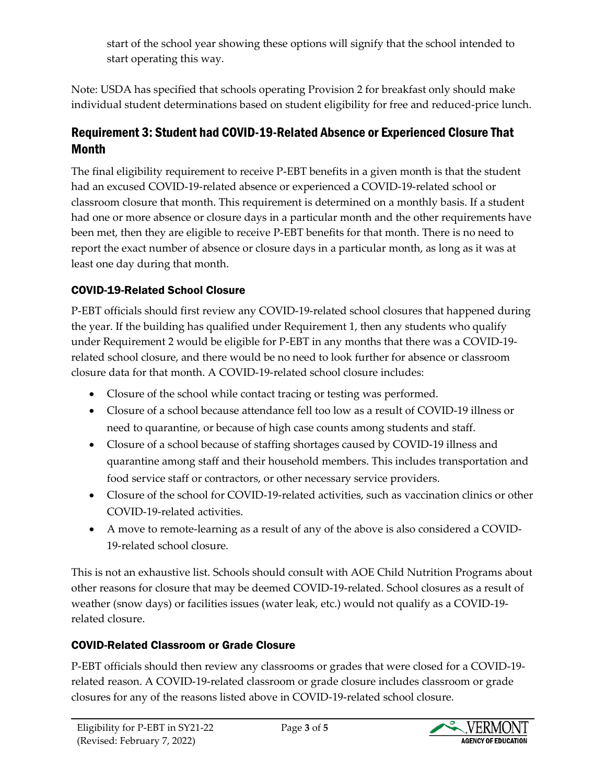start of the school year showing these options will signify that the school intended to start operating this way.

Note: USDA has specified that schools operating Provision 2 for breakfast only should make individual student determinations based on student eligibility for free and reduced-price lunch.

### Requirement 3: Student had COVID-19-Related Absence or Experienced Closure That Month

The final eligibility requirement to receive P-EBT benefits in a given month is that the student had an excused COVID-19-related absence or experienced a COVID-19-related school or classroom closure that month. This requirement is determined on a monthly basis. If a student had one or more absence or closure days in a particular month and the other requirements have been met, then they are eligible to receive P-EBT benefits for that month. There is no need to report the exact number of absence or closure days in a particular month, as long as it was at least one day during that month.

### COVID-19-Related School Closure

P-EBT officials should first review any COVID-19-related school closures that happened during the year. If the building has qualified under Requirement 1, then any students who qualify under Requirement 2 would be eligible for P-EBT in any months that there was a COVID-19 related school closure, and there would be no need to look further for absence or classroom closure data for that month. A COVID-19-related school closure includes:

- Closure of the school while contact tracing or testing was performed.
- Closure of a school because attendance fell too low as a result of COVID-19 illness or need to quarantine, or because of high case counts among students and staff.
- Closure of a school because of staffing shortages caused by COVID-19 illness and quarantine among staff and their household members. This includes transportation and food service staff or contractors, or other necessary service providers.
- Closure of the school for COVID-19-related activities, such as vaccination clinics or other COVID-19-related activities.
- A move to remote-learning as a result of any of the above is also considered a COVID-19-related school closure.

This is not an exhaustive list. Schools should consult with AOE Child Nutrition Programs about other reasons for closure that may be deemed COVID-19-related. School closures as a result of weather (snow days) or facilities issues (water leak, etc.) would not qualify as a COVID-19 related closure.

### COVID-Related Classroom or Grade Closure

P-EBT officials should then review any classrooms or grades that were closed for a COVID-19 related reason. A COVID-19-related classroom or grade closure includes classroom or grade closures for any of the reasons listed above in COVID-19-related school closure.

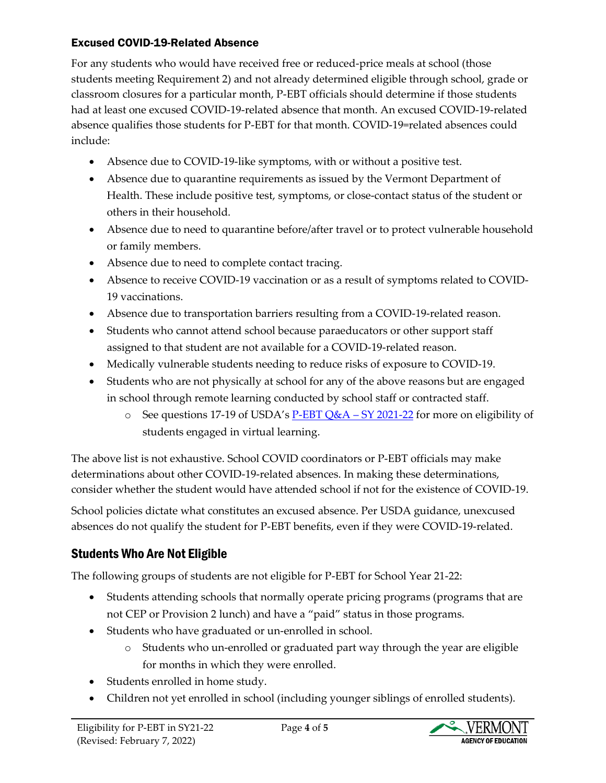### Excused COVID-19-Related Absence

For any students who would have received free or reduced-price meals at school (those students meeting Requirement 2) and not already determined eligible through school, grade or classroom closures for a particular month, P-EBT officials should determine if those students had at least one excused COVID-19-related absence that month. An excused COVID-19-related absence qualifies those students for P-EBT for that month. COVID-19=related absences could include:

- Absence due to COVID-19-like symptoms, with or without a positive test.
- Absence due to quarantine requirements as issued by the Vermont Department of Health. These include positive test, symptoms, or close-contact status of the student or others in their household.
- Absence due to need to quarantine before/after travel or to protect vulnerable household or family members.
- Absence due to need to complete contact tracing.
- Absence to receive COVID-19 vaccination or as a result of symptoms related to COVID-19 vaccinations.
- Absence due to transportation barriers resulting from a COVID-19-related reason.
- Students who cannot attend school because paraeducators or other support staff assigned to that student are not available for a COVID-19-related reason.
- Medically vulnerable students needing to reduce risks of exposure to COVID-19.
- Students who are not physically at school for any of the above reasons but are engaged in school through remote learning conducted by school staff or contracted staff.
	- $\circ$  See questions 17-19 of USDA's [P-EBT Q&A](https://www.fns.usda.gov/sites/default/files/resource-files/Attachment-1-PEBT-QA-School-Year-2021-2022.pdf)  SY 2021-22 for more on eligibility of students engaged in virtual learning.

The above list is not exhaustive. School COVID coordinators or P-EBT officials may make determinations about other COVID-19-related absences. In making these determinations, consider whether the student would have attended school if not for the existence of COVID-19.

School policies dictate what constitutes an excused absence. Per USDA guidance, unexcused absences do not qualify the student for P-EBT benefits, even if they were COVID-19-related.

# Students Who Are Not Eligible

The following groups of students are not eligible for P-EBT for School Year 21-22:

- Students attending schools that normally operate pricing programs (programs that are not CEP or Provision 2 lunch) and have a "paid" status in those programs.
- Students who have graduated or un-enrolled in school.
	- o Students who un-enrolled or graduated part way through the year are eligible for months in which they were enrolled.
- Students enrolled in home study.
- Children not yet enrolled in school (including younger siblings of enrolled students).